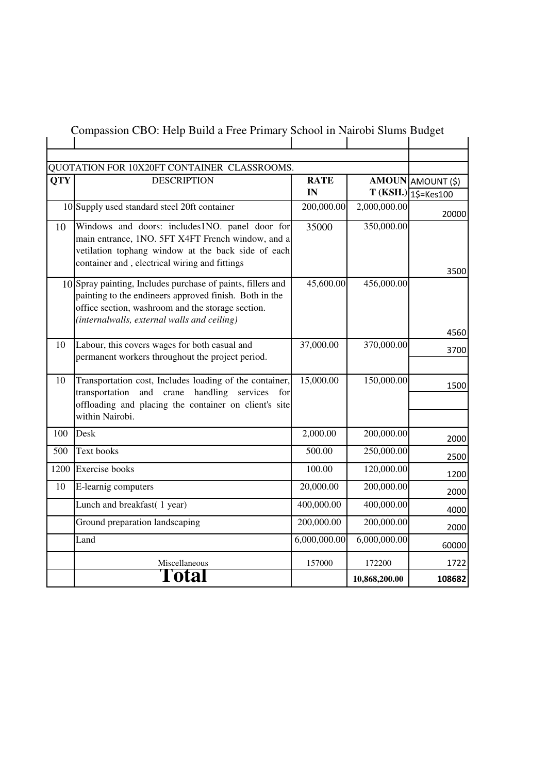| QUOTATION FOR 10X20FT CONTAINER CLASSROOMS.<br><b>DESCRIPTION</b><br><b>QTY</b><br><b>RATE</b> |                                                                                                                                                                                                                           |              |               | AMOUN AMOUNT (\$)             |
|------------------------------------------------------------------------------------------------|---------------------------------------------------------------------------------------------------------------------------------------------------------------------------------------------------------------------------|--------------|---------------|-------------------------------|
|                                                                                                |                                                                                                                                                                                                                           | IN           |               | $T(KSH.)$ $\sqrt{15}$ =Kes100 |
|                                                                                                | 10 Supply used standard steel 20ft container                                                                                                                                                                              | 200,000.00   | 2,000,000.00  | 20000                         |
| 10                                                                                             | Windows and doors: includes1NO. panel door for<br>main entrance, 1NO. 5FT X4FT French window, and a<br>vetilation tophang window at the back side of each<br>container and, electrical wiring and fittings                | 35000        | 350,000.00    | 3500                          |
|                                                                                                | 10 Spray painting, Includes purchase of paints, fillers and<br>painting to the endineers approved finish. Both in the<br>office section, washroom and the storage section.<br>(internalwalls, external walls and ceiling) | 45,600.00    | 456,000.00    | 4560                          |
| 10                                                                                             | Labour, this covers wages for both casual and<br>permanent workers throughout the project period.                                                                                                                         | 37,000.00    | 370,000.00    | 3700                          |
| 10                                                                                             | Transportation cost, Includes loading of the container,<br>transportation and crane<br>handling<br>services<br>for<br>offloading and placing the container on client's site<br>within Nairobi.                            | 15,000.00    | 150,000.00    | 1500                          |
| 100                                                                                            | Desk                                                                                                                                                                                                                      | 2,000.00     | 200,000.00    | 2000                          |
| 500                                                                                            | Text books                                                                                                                                                                                                                | 500.00       | 250,000.00    | 2500                          |
|                                                                                                | 1200 Exercise books                                                                                                                                                                                                       | 100.00       | 120,000.00    | 1200                          |
| 10                                                                                             | E-learnig computers                                                                                                                                                                                                       | 20,000.00    | 200,000.00    | 2000                          |
|                                                                                                | Lunch and breakfast(1 year)                                                                                                                                                                                               | 400,000.00   | 400,000.00    | 4000                          |
|                                                                                                | Ground preparation landscaping                                                                                                                                                                                            | 200,000.00   | 200,000.00    | 2000                          |
|                                                                                                | Land                                                                                                                                                                                                                      | 6,000,000.00 | 6,000,000.00  | 60000                         |
|                                                                                                | Miscellaneous                                                                                                                                                                                                             | 157000       | 172200        | 1722                          |
|                                                                                                | l'otal                                                                                                                                                                                                                    |              | 10,868,200.00 | 108682                        |

## Compassion CBO: Help Build a Free Primary School in Nairobi Slums Budget